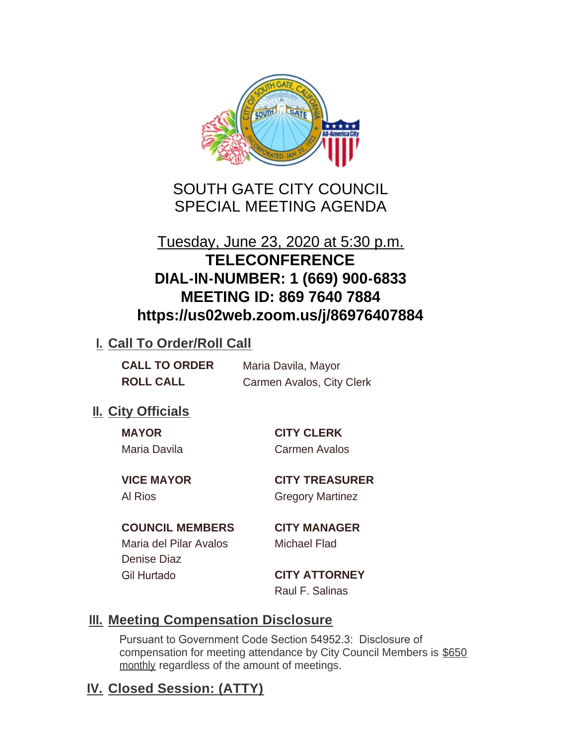

SOUTH GATE CITY COUNCIL SPECIAL MEETING AGENDA

# Tuesday, June 23, 2020 at 5:30 p.m. **TELECONFERENCE DIAL-IN-NUMBER: 1 (669) 900-6833 MEETING ID: 869 7640 7884 https://us02web.zoom.us/j/86976407884**

## **I. Call To Order/Roll Call**

| <b>CALL TO ORDER</b> | Maria Davila, Mayor       |
|----------------------|---------------------------|
| <b>ROLL CALL</b>     | Carmen Avalos, City Clerk |

# **II.** City Officials

Maria Davila Carmen Avalos

**MAYOR CITY CLERK**

**VICE MAYOR CITY TREASURER** Al Rios **Gregory Martinez** 

## **COUNCIL MEMBERS CITY MANAGER**

Maria del Pilar Avalos Michael Flad Denise Diaz Gil Hurtado **CITY ATTORNEY**

Raul F. Salinas

## **Meeting Compensation Disclosure III.**

Pursuant to Government Code Section 54952.3: Disclosure of compensation for meeting attendance by City Council Members is \$650 monthly regardless of the amount of meetings.

# **Closed Session: (ATTY) IV.**